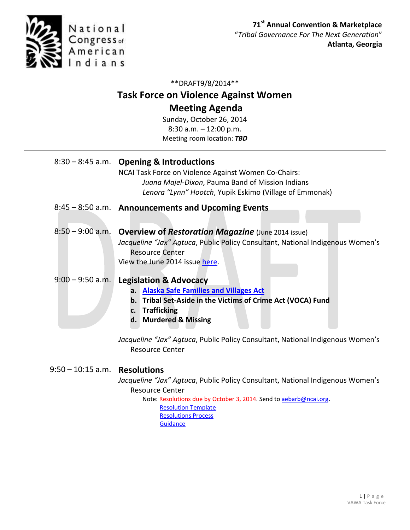

## \*\*DRAFT9/8/2014\*\*

# **Task Force on Violence Against Women Meeting Agenda**

Sunday, October 26, 2014 8:30 a.m. – 12:00 p.m. Meeting room location: *TBD*

|                    | 8:30 - 8:45 a.m. Opening & Introductions<br>NCAI Task Force on Violence Against Women Co-Chairs:<br>Juana Majel-Dixon, Pauma Band of Mission Indians<br>Lenora "Lynn" Hootch, Yupik Eskimo (Village of Emmonak)                                                                                                                                |
|--------------------|------------------------------------------------------------------------------------------------------------------------------------------------------------------------------------------------------------------------------------------------------------------------------------------------------------------------------------------------|
|                    | 8:45 – 8:50 a.m. Announcements and Upcoming Events                                                                                                                                                                                                                                                                                             |
|                    | 8:50 - 9:00 a.m. Overview of Restoration Magazine (June 2014 issue)<br>Jacqueline "Jax" Agtuca, Public Policy Consultant, National Indigenous Women's<br><b>Resource Center</b><br>View the June 2014 issue here.                                                                                                                              |
| $9:00 - 9:50$ a.m. | <b>Legislation &amp; Advocacy</b><br><b>Alaska Safe Families and Villages Act</b><br>a.<br>b. Tribal Set-Aside in the Victims of Crime Act (VOCA) Fund<br><b>Trafficking</b><br>$c_{\cdot}$<br><b>Murdered &amp; Missing</b><br>d.<br>Jacqueline "Jax" Agtuca, Public Policy Consultant, National Indigenous Women's<br><b>Resource Center</b> |

### 9:50 – 10:15 a.m. **Resolutions**

*Jacqueline "Jax" Agtuca*, Public Policy Consultant, National Indigenous Women's Resource Center

Note: Resolutions due by October 3, 2014. Send t[o aebarb@ncai.org.](mailto:aebarb@ncai.org) [Resolution Template](http://www.ncai.org/resolutions/ATL-14-000_Resolution_Template_rev.doc) [Resolutions Process](http://www.ncai.org/resources/ncai-resolutions-process) **[Guidance](http://www.ncai.org/resolutions/2010.09_Resolution_Guidance__Final.pdf)**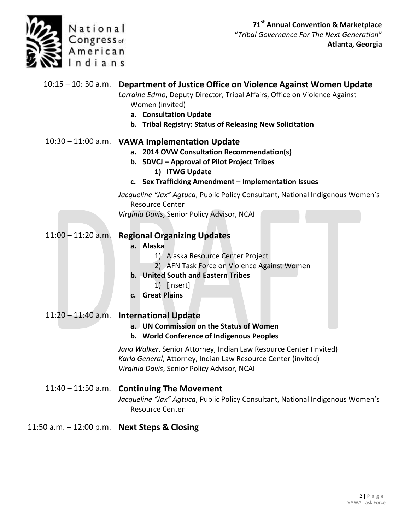

"*Tribal Governance For The Next Generation*" **Atlanta, Georgia**

|                                              | 10:15 – 10:30 a.m. Department of Justice Office on Violence Against Women Update<br>Lorraine Edmo, Deputy Director, Tribal Affairs, Office on Violence Against<br>Women (invited)<br>a. Consultation Update<br>b. Tribal Registry: Status of Releasing New Solicitation |
|----------------------------------------------|-------------------------------------------------------------------------------------------------------------------------------------------------------------------------------------------------------------------------------------------------------------------------|
|                                              | 10:30 - 11:00 a.m. VAWA Implementation Update<br>a. 2014 OVW Consultation Recommendation(s)<br>b. SDVCJ - Approval of Pilot Project Tribes<br>1) ITWG Update<br>c. Sex Trafficking Amendment - Implementation Issues                                                    |
|                                              | Jacqueline "Jax" Agtuca, Public Policy Consultant, National Indigenous Women's                                                                                                                                                                                          |
|                                              | <b>Resource Center</b><br>Virginia Davis, Senior Policy Advisor, NCAI                                                                                                                                                                                                   |
| $11:00 - 11:20$ a.m.                         | <b>Regional Organizing Updates</b><br>a. Alaska<br>1) Alaska Resource Center Project<br>2) AFN Task Force on Violence Against Women<br>b. United South and Eastern Tribes<br>1) [insert]<br>c. Great Plains                                                             |
| $11:20 - 11:40$ a.m.                         | <b>International Update</b>                                                                                                                                                                                                                                             |
|                                              | a. UN Commission on the Status of Women<br>b. World Conference of Indigenous Peoples                                                                                                                                                                                    |
|                                              | Jana Walker, Senior Attorney, Indian Law Resource Center (invited)<br>Karla General, Attorney, Indian Law Resource Center (invited)<br>Virginia Davis, Senior Policy Advisor, NCAI                                                                                      |
|                                              | 11:40 - 11:50 a.m. Continuing The Movement<br>Jacqueline "Jax" Agtuca, Public Policy Consultant, National Indigenous Women's<br><b>Resource Center</b>                                                                                                                  |
| 11:50 a.m. - 12:00 p.m. Next Steps & Closing |                                                                                                                                                                                                                                                                         |